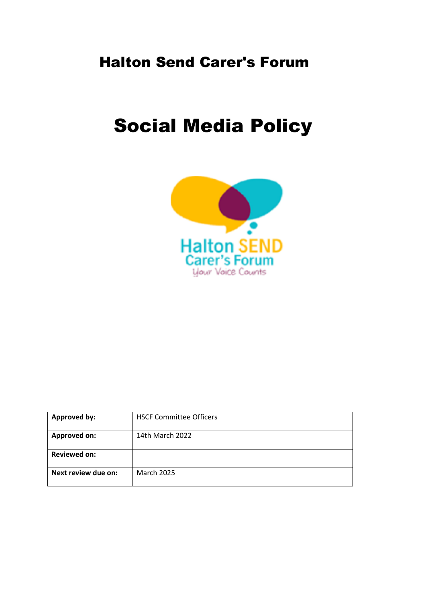# Halton Send Carer's Forum

# Social Media Policy



| <b>Approved by:</b> | <b>HSCF Committee Officers</b> |
|---------------------|--------------------------------|
| <b>Approved on:</b> | 14th March 2022                |
| <b>Reviewed on:</b> |                                |
| Next review due on: | <b>March 2025</b>              |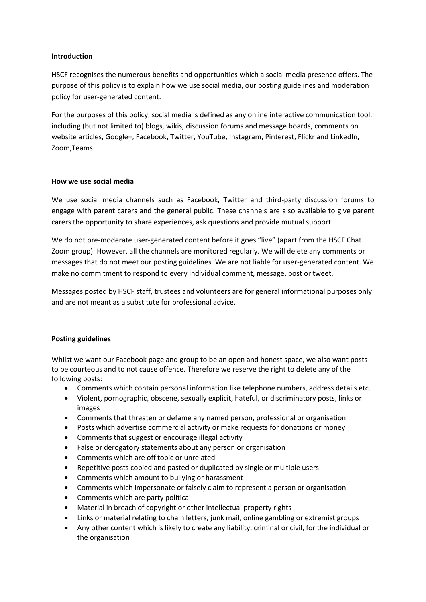#### **Introduction**

HSCF recognises the numerous benefits and opportunities which a social media presence offers. The purpose of this policy is to explain how we use social media, our posting guidelines and moderation policy for user-generated content.

For the purposes of this policy, social media is defined as any online interactive communication tool, including (but not limited to) blogs, wikis, discussion forums and message boards, comments on website articles, Google+, Facebook, Twitter, YouTube, Instagram, Pinterest, Flickr and LinkedIn, Zoom,Teams.

#### **How we use social media**

We use social media channels such as Facebook, Twitter and third-party discussion forums to engage with parent carers and the general public. These channels are also available to give parent carers the opportunity to share experiences, ask questions and provide mutual support.

We do not pre-moderate user-generated content before it goes "live" (apart from the HSCF Chat Zoom group). However, all the channels are monitored regularly. We will delete any comments or messages that do not meet our posting guidelines. We are not liable for user-generated content. We make no commitment to respond to every individual comment, message, post or tweet.

Messages posted by HSCF staff, trustees and volunteers are for general informational purposes only and are not meant as a substitute for professional advice.

# **Posting guidelines**

Whilst we want our Facebook page and group to be an open and honest space, we also want posts to be courteous and to not cause offence. Therefore we reserve the right to delete any of the following posts:

- Comments which contain personal information like telephone numbers, address details etc.
- Violent, pornographic, obscene, sexually explicit, hateful, or discriminatory posts, links or images
- Comments that threaten or defame any named person, professional or organisation
- Posts which advertise commercial activity or make requests for donations or money
- Comments that suggest or encourage illegal activity
- False or derogatory statements about any person or organisation
- Comments which are off topic or unrelated
- Repetitive posts copied and pasted or duplicated by single or multiple users
- Comments which amount to bullying or harassment
- Comments which impersonate or falsely claim to represent a person or organisation
- Comments which are party political
- Material in breach of copyright or other intellectual property rights
- Links or material relating to chain letters, junk mail, online gambling or extremist groups
- Any other content which is likely to create any liability, criminal or civil, for the individual or the organisation